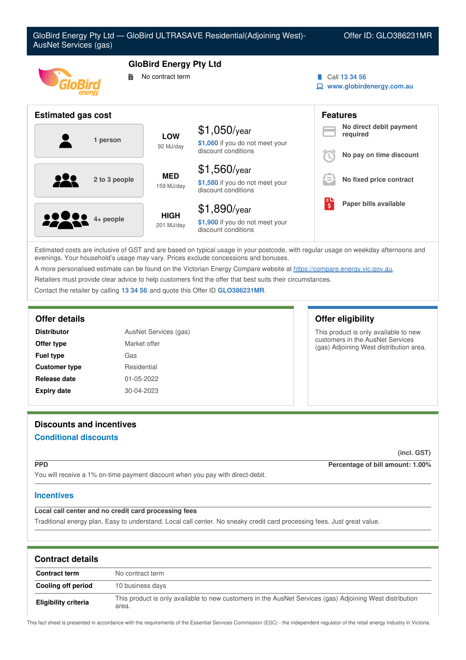

Estimated costs are inclusive of GST and are based on typical usage in your postcode, with regular usage on weekday afternoons and evenings. Your household's usage may vary. Prices exclude concessions and bonuses.

A more personalised estimate can be found on the Victorian Energy Compare website at <https://compare.energy.vic.gov.au>.

Retailers must provide clear advice to help customers find the offer that best suits their circumstances.

Contact the retailer by calling **13 34 56** and quote this Offer ID **GLO386231MR**.

| <b>Distributor</b><br>AusNet Services (gas) |              |  |
|---------------------------------------------|--------------|--|
| Offer type                                  | Market offer |  |
| <b>Fuel type</b>                            | Gas          |  |
| <b>Customer type</b>                        | Residential  |  |
| Release date                                | 01-05-2022   |  |
| <b>Expiry date</b>                          | 30-04-2023   |  |

### **Offer details Offer eligibility**

This product is only available to new customers in the AusNet Services (gas) Adjoining West distribution area.

# **Discounts and incentives Conditional discounts**

**(incl. GST)**

**PPD Percentage of bill amount: 1.00%**

You will receive a 1% on-time payment discount when you pay with direct-debit.

## **Incentives**

## **Local call center and no credit card processing fees**

Traditional energy plan. Easy to understand. Local call center. No sneaky credit card processing fees. Just great value.

| <b>Contract details</b> |                                                                                                                   |  |
|-------------------------|-------------------------------------------------------------------------------------------------------------------|--|
| <b>Contract term</b>    | No contract term                                                                                                  |  |
| Cooling off period      | 10 business days                                                                                                  |  |
| Eligibility criteria    | This product is only available to new customers in the AusNet Services (gas) Adjoining West distribution<br>area. |  |

This fact sheet is presented in accordance with the requirements of the Essential Services Commission (ESC) - the independent regulator of the retail energy industry in Victoria.